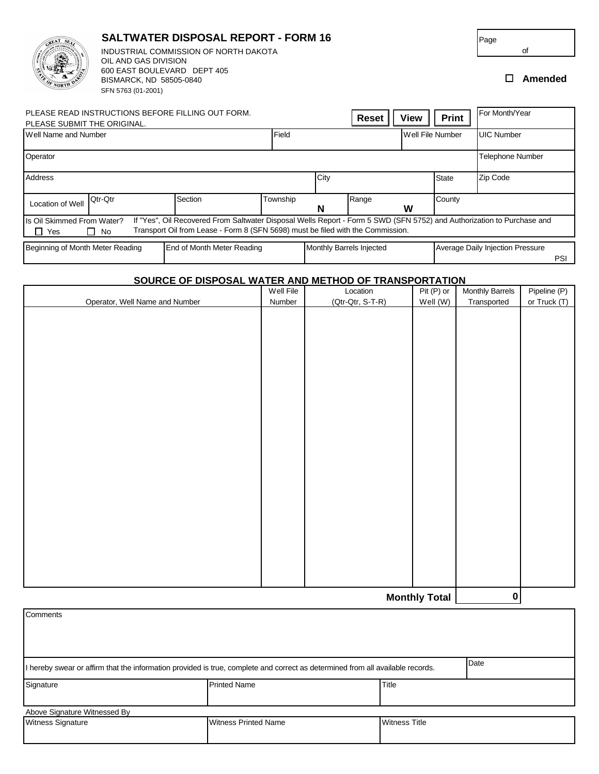|                                                                                                                                                                                                                                                                    | OIL AND GAS DIVISION<br>600 EAST BOULEVARD DEPT 405<br>BISMARCK, ND 58505-0840<br>SFN 5763 (01-2001) | INDUSTRIAL COMMISSION OF NORTH DAKOTA             |          |      |                          |                  |              | of<br>П                          | Amended    |
|--------------------------------------------------------------------------------------------------------------------------------------------------------------------------------------------------------------------------------------------------------------------|------------------------------------------------------------------------------------------------------|---------------------------------------------------|----------|------|--------------------------|------------------|--------------|----------------------------------|------------|
|                                                                                                                                                                                                                                                                    |                                                                                                      | PLEASE READ INSTRUCTIONS BEFORE FILLING OUT FORM. |          |      | <b>Reset</b>             | <b>View</b>      | <b>Print</b> | For Month/Year                   |            |
| PLEASE SUBMIT THE ORIGINAL.                                                                                                                                                                                                                                        |                                                                                                      |                                                   |          |      |                          |                  |              |                                  |            |
| Well Name and Number                                                                                                                                                                                                                                               |                                                                                                      |                                                   | Field    |      |                          | Well File Number |              | <b>UIC Number</b>                |            |
| Operator                                                                                                                                                                                                                                                           |                                                                                                      |                                                   |          |      |                          |                  |              | <b>Telephone Number</b>          |            |
| Address                                                                                                                                                                                                                                                            |                                                                                                      |                                                   |          | City |                          |                  | <b>State</b> | Zip Code                         |            |
| <b>Location of Well</b>                                                                                                                                                                                                                                            | Qtr-Qtr                                                                                              | Section                                           | Township | N    | Range                    | W                | County       |                                  |            |
| If "Yes", Oil Recovered From Saltwater Disposal Wells Report - Form 5 SWD (SFN 5752) and Authorization to Purchase and<br>Is Oil Skimmed From Water?<br>Transport Oil from Lease - Form 8 (SFN 5698) must be filed with the Commission.<br>$\Box$ Yes<br>$\Box$ No |                                                                                                      |                                                   |          |      |                          |                  |              |                                  |            |
| Beginning of Month Meter Reading                                                                                                                                                                                                                                   |                                                                                                      | End of Month Meter Reading                        |          |      | Monthly Barrels Injected |                  |              | Average Daily Injection Pressure | <b>PSI</b> |

**SALTWATER DISPOSAL REPORT - FORM 16**

**CREAT SEA** 

## **SOURCE OF DISPOSAL WATER AND METHOD OF TRANSPORTATION**

|                                | Well File   | Location         | Pit (P) or           | <b>Monthly Barrels</b> | Pipeline (P) |
|--------------------------------|-------------|------------------|----------------------|------------------------|--------------|
| Operator, Well Name and Number | Number      | (Qtr-Qtr, S-T-R) | Well (W)             | Transported            | or Truck (T) |
|                                |             |                  |                      |                        |              |
|                                |             |                  |                      |                        |              |
|                                |             |                  |                      |                        |              |
|                                |             |                  |                      |                        |              |
|                                |             |                  |                      |                        |              |
|                                |             |                  |                      |                        |              |
|                                |             |                  |                      |                        |              |
|                                |             |                  |                      |                        |              |
|                                |             |                  |                      |                        |              |
|                                |             |                  |                      |                        |              |
|                                |             |                  |                      |                        |              |
|                                |             |                  |                      |                        |              |
|                                |             |                  |                      |                        |              |
|                                |             |                  |                      |                        |              |
|                                |             |                  |                      |                        |              |
|                                |             |                  |                      |                        |              |
|                                |             |                  |                      |                        |              |
|                                |             |                  |                      |                        |              |
|                                |             |                  |                      |                        |              |
|                                |             |                  |                      |                        |              |
|                                |             |                  |                      |                        |              |
|                                |             |                  |                      |                        |              |
|                                |             |                  |                      |                        |              |
|                                |             |                  |                      |                        |              |
|                                |             |                  |                      |                        |              |
|                                |             |                  |                      |                        |              |
|                                |             |                  |                      |                        |              |
|                                |             |                  |                      |                        |              |
|                                | $\mathbf 0$ |                  |                      |                        |              |
|                                |             |                  | <b>Monthly Total</b> |                        |              |

| Comments                                                                                                                               |                             |                      |  |  |  |  |  |  |
|----------------------------------------------------------------------------------------------------------------------------------------|-----------------------------|----------------------|--|--|--|--|--|--|
|                                                                                                                                        |                             |                      |  |  |  |  |  |  |
| Date<br>I hereby swear or affirm that the information provided is true, complete and correct as determined from all available records. |                             |                      |  |  |  |  |  |  |
| Signature                                                                                                                              | <b>Printed Name</b>         | Title                |  |  |  |  |  |  |
| Above Signature Witnessed By                                                                                                           |                             |                      |  |  |  |  |  |  |
| <b>Witness Signature</b>                                                                                                               | <b>Witness Printed Name</b> | <b>Witness Title</b> |  |  |  |  |  |  |

Page